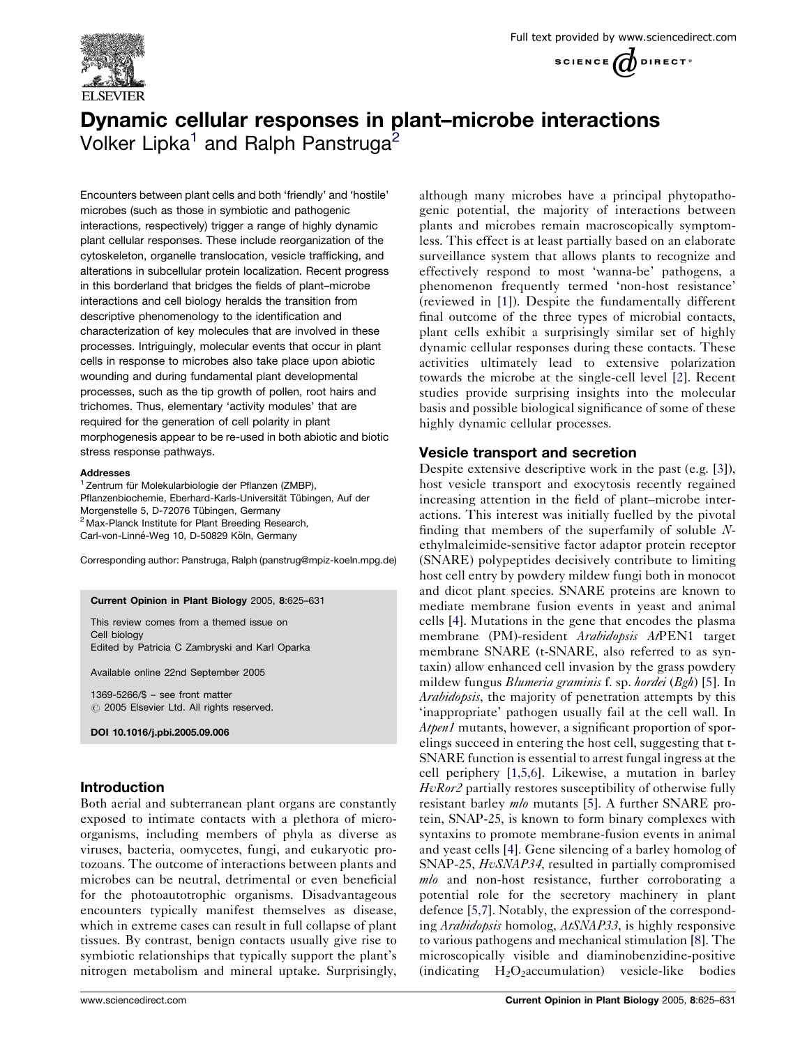

# Dynamic cellular responses in plant–microbe interactions Volker Lipka<sup>1</sup> and Ralph Panstruga<sup>2</sup>

Encounters between plant cells and both 'friendly' and 'hostile' microbes (such as those in symbiotic and pathogenic interactions, respectively) trigger a range of highly dynamic plant cellular responses. These include reorganization of the cytoskeleton, organelle translocation, vesicle trafficking, and alterations in subcellular protein localization. Recent progress in this borderland that bridges the fields of plant–microbe interactions and cell biology heralds the transition from descriptive phenomenology to the identification and characterization of key molecules that are involved in these processes. Intriguingly, molecular events that occur in plant cells in response to microbes also take place upon abiotic wounding and during fundamental plant developmental processes, such as the tip growth of pollen, root hairs and trichomes. Thus, elementary 'activity modules' that are required for the generation of cell polarity in plant morphogenesis appear to be re-used in both abiotic and biotic stress response pathways.

#### Addresses

 $1$ Zentrum für Molekularbiologie der Pflanzen (ZMBP). Pflanzenbiochemie, Eberhard-Karls-Universität Tübingen, Auf der Morgenstelle 5, D-72076 Tübingen, Germany <sup>2</sup> Max-Planck Institute for Plant Breeding Research, Carl-von-Linné-Weg 10, D-50829 Köln, Germany

Corresponding author: Panstruga, Ralph (panstrug@mpiz-koeln.mpg.de)

#### Current Opinion in Plant Biology 2005, 8:625–631

This review comes from a themed issue on Cell biology Edited by Patricia C Zambryski and Karl Oparka

Available online 22nd September 2005

1369-5266/\$ – see front matter  $\oslash$  2005 Elsevier Ltd. All rights reserved.

DOI 10.1016/j.pbi.2005.09.006

## **Introduction**

Both aerial and subterranean plant organs are constantly exposed to intimate contacts with a plethora of microorganisms, including members of phyla as diverse as viruses, bacteria, oomycetes, fungi, and eukaryotic protozoans. The outcome of interactions between plants and microbes can be neutral, detrimental or even beneficial for the photoautotrophic organisms. Disadvantageous encounters typically manifest themselves as disease, which in extreme cases can result in full collapse of plant tissues. By contrast, benign contacts usually give rise to symbiotic relationships that typically support the plant's nitrogen metabolism and mineral uptake. Surprisingly, although many microbes have a principal phytopathogenic potential, the majority of interactions between plants and microbes remain macroscopically symptomless. This effect is at least partially based on an elaborate surveillance system that allows plants to recognize and effectively respond to most 'wanna-be' pathogens, a phenomenon frequently termed 'non-host resistance' (reviewed in [[1\]](#page-5-0)). Despite the fundamentally different final outcome of the three types of microbial contacts, plant cells exhibit a surprisingly similar set of highly dynamic cellular responses during these contacts. These activities ultimately lead to extensive polarization towards the microbe at the single-cell level [[2\]](#page-5-0). Recent studies provide surprising insights into the molecular basis and possible biological significance of some of these highly dynamic cellular processes.

### Vesicle transport and secretion

Despite extensive descriptive work in the past (e.g. [\[3](#page-5-0)]), host vesicle transport and exocytosis recently regained increasing attention in the field of plant–microbe interactions. This interest was initially fuelled by the pivotal finding that members of the superfamily of soluble  $N$ ethylmaleimide-sensitive factor adaptor protein receptor (SNARE) polypeptides decisively contribute to limiting host cell entry by powdery mildew fungi both in monocot and dicot plant species. SNARE proteins are known to mediate membrane fusion events in yeast and animal cells [\[4](#page-5-0)]. Mutations in the gene that encodes the plasma membrane (PM)-resident Arabidopsis AtPEN1 target membrane SNARE (t-SNARE, also referred to as syntaxin) allow enhanced cell invasion by the grass powdery mildew fungus Blumeria graminis f. sp. hordei (Bgh) [[5\]](#page-5-0). In Arabidopsis, the majority of penetration attempts by this 'inappropriate' pathogen usually fail at the cell wall. In Atpen1 mutants, however, a significant proportion of sporelings succeed in entering the host cell, suggesting that t-SNARE function is essential to arrest fungal ingress at the cell periphery [[1,5,6\]](#page-5-0). Likewise, a mutation in barley HvRor2 partially restores susceptibility of otherwise fully resistant barley mlo mutants [[5\]](#page-5-0). A further SNARE protein, SNAP-25, is known to form binary complexes with syntaxins to promote membrane-fusion events in animal and yeast cells [\[4](#page-5-0)]. Gene silencing of a barley homolog of SNAP-25, HvSNAP34, resulted in partially compromised mlo and non-host resistance, further corroborating a potential role for the secretory machinery in plant defence [[5,7](#page-5-0)]. Notably, the expression of the corresponding Arabidopsis homolog, AtSNAP33, is highly responsive to various pathogens and mechanical stimulation [\[8](#page-5-0)]. The microscopically visible and diaminobenzidine-positive (indicating  $H_2O_2$ accumulation) vesicle-like bodies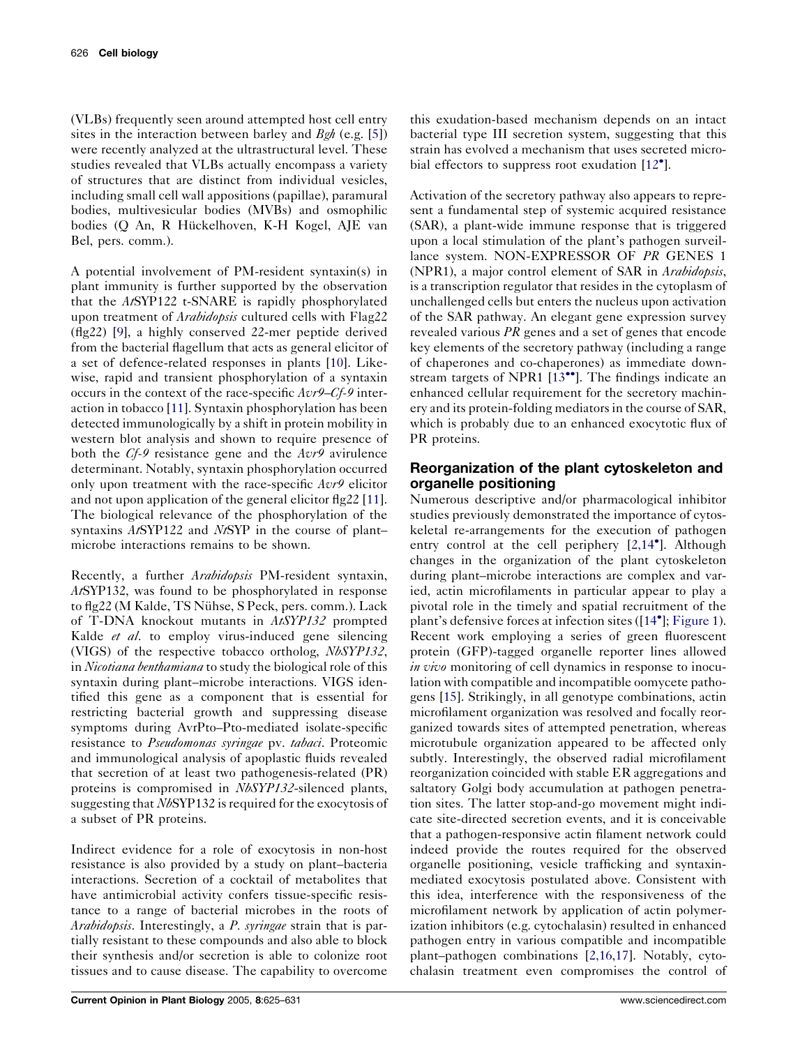(VLBs) frequently seen around attempted host cell entry sites in the interaction between barley and *Bgh* (e.g. [\[5](#page-5-0)]) were recently analyzed at the ultrastructural level. These studies revealed that VLBs actually encompass a variety of structures that are distinct from individual vesicles, including small cell wall appositions (papillae), paramural bodies, multivesicular bodies (MVBs) and osmophilic bodies (Q An, R Hückelhoven, K-H Kogel, AJE van Bel, pers. comm.).

A potential involvement of PM-resident syntaxin(s) in plant immunity is further supported by the observation that the AtSYP122 t-SNARE is rapidly phosphorylated upon treatment of Arabidopsis cultured cells with Flag22 (flg22) [[9\]](#page-5-0), a highly conserved 22-mer peptide derived from the bacterial flagellum that acts as general elicitor of a set of defence-related responses in plants [[10\]](#page-5-0). Likewise, rapid and transient phosphorylation of a syntaxin occurs in the context of the race-specific Avr9–Cf-9 interaction in tobacco [[11\]](#page-5-0). Syntaxin phosphorylation has been detected immunologically by a shift in protein mobility in western blot analysis and shown to require presence of both the Cf-9 resistance gene and the Avr9 avirulence determinant. Notably, syntaxin phosphorylation occurred only upon treatment with the race-specific Avr9 elicitor and not upon application of the general elicitor flg22 [\[11](#page-5-0)]. The biological relevance of the phosphorylation of the syntaxins AtSYP122 and NtSYP in the course of plant– microbe interactions remains to be shown.

Recently, a further Arabidopsis PM-resident syntaxin, AtSYP132, was found to be phosphorylated in response to flg22 (M Kalde, TS Nühse, S Peck, pers. comm.). Lack of T-DNA knockout mutants in AtSYP132 prompted Kalde et al. to employ virus-induced gene silencing (VIGS) of the respective tobacco ortholog, NbSYP132, in Nicotiana benthamiana to study the biological role of this syntaxin during plant–microbe interactions. VIGS identified this gene as a component that is essential for restricting bacterial growth and suppressing disease symptoms during AvrPto–Pto-mediated isolate-specific resistance to Pseudomonas syringae pv. tabaci. Proteomic and immunological analysis of apoplastic fluids revealed that secretion of at least two pathogenesis-related (PR) proteins is compromised in NbSYP132-silenced plants, suggesting that NbSYP132 is required for the exocytosis of a subset of PR proteins.

Indirect evidence for a role of exocytosis in non-host resistance is also provided by a study on plant–bacteria interactions. Secretion of a cocktail of metabolites that have antimicrobial activity confers tissue-specific resistance to a range of bacterial microbes in the roots of Arabidopsis. Interestingly, a P. syringae strain that is partially resistant to these compounds and also able to block their synthesis and/or secretion is able to colonize root tissues and to cause disease. The capability to overcome

this exudation-based mechanism depends on an intact bacterial type III secretion system, suggesting that this strain has evolved a mechanism that uses secreted micro-bial effectors to suppress root exudation [\[12](#page-5-0)°].

Activation of the secretory pathway also appears to represent a fundamental step of systemic acquired resistance (SAR), a plant-wide immune response that is triggered upon a local stimulation of the plant's pathogen surveillance system. NON-EXPRESSOR OF PR GENES 1 (NPR1), a major control element of SAR in *Arabidopsis*, is a transcription regulator that resides in the cytoplasm of unchallenged cells but enters the nucleus upon activation of the SAR pathway. An elegant gene expression survey revealed various PR genes and a set of genes that encode key elements of the secretory pathway (including a range of chaperones and co-chaperones) as immediate downstream targets of NPR1  $[13\text{''}']$  $[13\text{''}']$ . The findings indicate an enhanced cellular requirement for the secretory machinery and its protein-folding mediators in the course of SAR, which is probably due to an enhanced exocytotic flux of PR proteins.

# Reorganization of the plant cytoskeleton and organelle positioning

Numerous descriptive and/or pharmacological inhibitor studies previously demonstrated the importance of cytoskeletal re-arrangements for the execution of pathogen entry control at the cell periphery [\[2,14](#page-5-0)<sup>°</sup>]. Although changes in the organization of the plant cytoskeleton during plant–microbe interactions are complex and varied, actin microfilaments in particular appear to play a pivotal role in the timely and spatial recruitment of the plant's defensive forces at infection sites ([[14](#page-5-0)<sup>°</sup>]; [Figure 1](#page-2-0)). Recent work employing a series of green fluorescent protein (GFP)-tagged organelle reporter lines allowed in vivo monitoring of cell dynamics in response to inoculation with compatible and incompatible oomycete pathogens [[15\]](#page-5-0). Strikingly, in all genotype combinations, actin microfilament organization was resolved and focally reorganized towards sites of attempted penetration, whereas microtubule organization appeared to be affected only subtly. Interestingly, the observed radial microfilament reorganization coincided with stable ER aggregations and saltatory Golgi body accumulation at pathogen penetration sites. The latter stop-and-go movement might indicate site-directed secretion events, and it is conceivable that a pathogen-responsive actin filament network could indeed provide the routes required for the observed organelle positioning, vesicle trafficking and syntaxinmediated exocytosis postulated above. Consistent with this idea, interference with the responsiveness of the microfilament network by application of actin polymerization inhibitors (e.g. cytochalasin) resulted in enhanced pathogen entry in various compatible and incompatible plant–pathogen combinations [\[2,16,17](#page-5-0)]. Notably, cytochalasin treatment even compromises the control of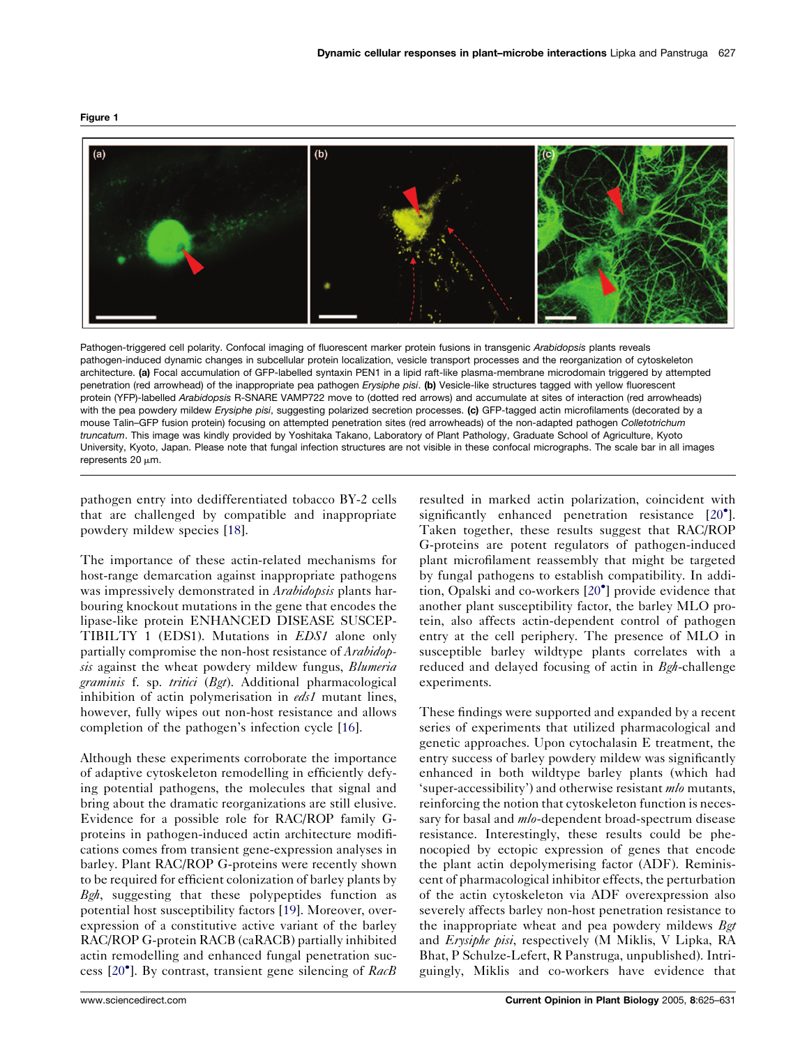<span id="page-2-0"></span>



Pathogen-triggered cell polarity. Confocal imaging of fluorescent marker protein fusions in transgenic Arabidopsis plants reveals pathogen-induced dynamic changes in subcellular protein localization, vesicle transport processes and the reorganization of cytoskeleton architecture. (a) Focal accumulation of GFP-labelled syntaxin PEN1 in a lipid raft-like plasma-membrane microdomain triggered by attempted penetration (red arrowhead) of the inappropriate pea pathogen Erysiphe pisi. (b) Vesicle-like structures tagged with yellow fluorescent protein (YFP)-labelled Arabidopsis R-SNARE VAMP722 move to (dotted red arrows) and accumulate at sites of interaction (red arrowheads) with the pea powdery mildew Erysiphe pisi, suggesting polarized secretion processes. (c) GFP-tagged actin microfilaments (decorated by a mouse Talin–GFP fusion protein) focusing on attempted penetration sites (red arrowheads) of the non-adapted pathogen Colletotrichum truncatum. This image was kindly provided by Yoshitaka Takano, Laboratory of Plant Pathology, Graduate School of Agriculture, Kyoto University, Kyoto, Japan. Please note that fungal infection structures are not visible in these confocal micrographs. The scale bar in all images represents 20  $\mu$ m.

pathogen entry into dedifferentiated tobacco BY-2 cells that are challenged by compatible and inappropriate powdery mildew species [[18\]](#page-5-0).

The importance of these actin-related mechanisms for host-range demarcation against inappropriate pathogens was impressively demonstrated in *Arabidopsis* plants harbouring knockout mutations in the gene that encodes the lipase-like protein ENHANCED DISEASE SUSCEP-TIBILTY 1 (EDS1). Mutations in EDS1 alone only partially compromise the non-host resistance of *Arabidop*sis against the wheat powdery mildew fungus, *Blumeria* graminis f. sp. tritici (Bgt). Additional pharmacological inhibition of actin polymerisation in eds1 mutant lines, however, fully wipes out non-host resistance and allows completion of the pathogen's infection cycle [\[16](#page-5-0)].

Although these experiments corroborate the importance of adaptive cytoskeleton remodelling in efficiently defying potential pathogens, the molecules that signal and bring about the dramatic reorganizations are still elusive. Evidence for a possible role for RAC/ROP family Gproteins in pathogen-induced actin architecture modifications comes from transient gene-expression analyses in barley. Plant RAC/ROP G-proteins were recently shown to be required for efficient colonization of barley plants by Bgh, suggesting that these polypeptides function as potential host susceptibility factors [[19\]](#page-5-0). Moreover, overexpression of a constitutive active variant of the barley RAC/ROP G-protein RACB (caRACB) partially inhibited actin remodelling and enhanced fungal penetration suc-cess [[20](#page-5-0)<sup>°</sup>]. By contrast, transient gene silencing of RacB

resulted in marked actin polarization, coincident with significantly enhanced penetration resistance [[20](#page-5-0)<sup>°</sup>]. Taken together, these results suggest that RAC/ROP G-proteins are potent regulators of pathogen-induced plant microfilament reassembly that might be targeted by fungal pathogens to establish compatibility. In addition, Opalski and co-workers [[20](#page-5-0) ] provide evidence that another plant susceptibility factor, the barley MLO protein, also affects actin-dependent control of pathogen entry at the cell periphery. The presence of MLO in susceptible barley wildtype plants correlates with a reduced and delayed focusing of actin in Bgh-challenge experiments.

These findings were supported and expanded by a recent series of experiments that utilized pharmacological and genetic approaches. Upon cytochalasin E treatment, the entry success of barley powdery mildew was significantly enhanced in both wildtype barley plants (which had 'super-accessibility') and otherwise resistant *mlo* mutants, reinforcing the notion that cytoskeleton function is necessary for basal and *mlo*-dependent broad-spectrum disease resistance. Interestingly, these results could be phenocopied by ectopic expression of genes that encode the plant actin depolymerising factor (ADF). Reminiscent of pharmacological inhibitor effects, the perturbation of the actin cytoskeleton via ADF overexpression also severely affects barley non-host penetration resistance to the inappropriate wheat and pea powdery mildews  $Bgt$ and Erysiphe pisi, respectively (M Miklis, V Lipka, RA Bhat, P Schulze-Lefert, R Panstruga, unpublished). Intriguingly, Miklis and co-workers have evidence that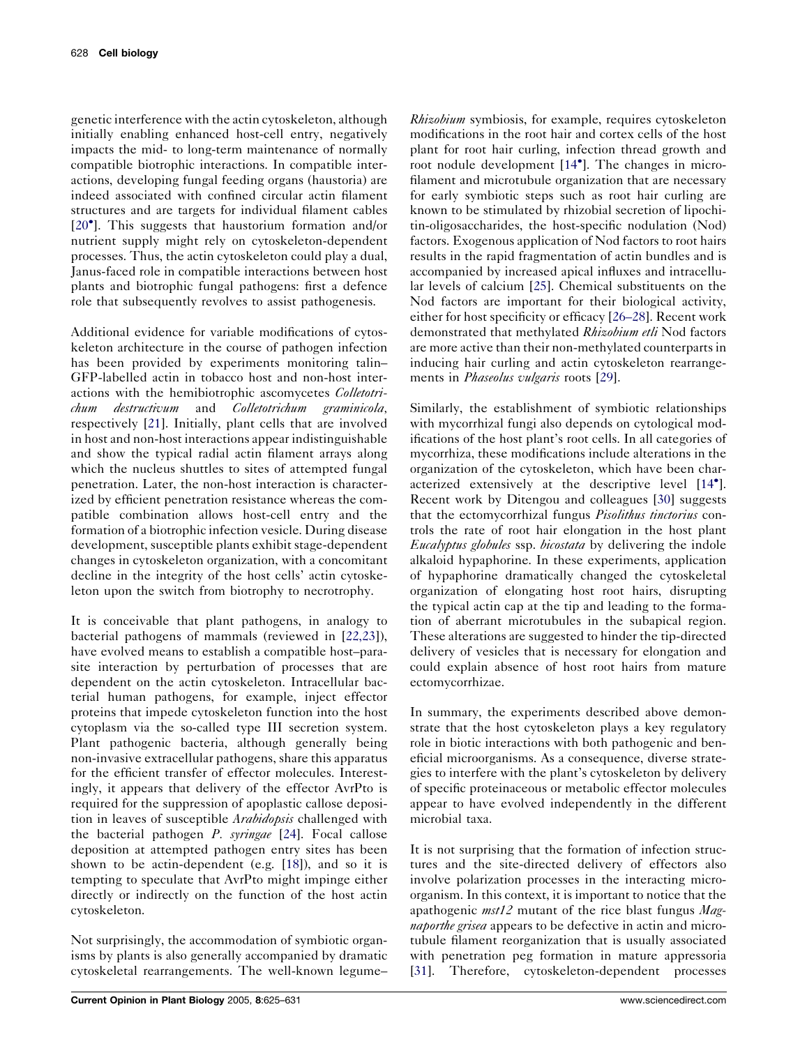genetic interference with the actin cytoskeleton, although initially enabling enhanced host-cell entry, negatively impacts the mid- to long-term maintenance of normally compatible biotrophic interactions. In compatible interactions, developing fungal feeding organs (haustoria) are indeed associated with confined circular actin filament structures and are targets for individual filament cables [\[20](#page-5-0) ]. This suggests that haustorium formation and/or nutrient supply might rely on cytoskeleton-dependent processes. Thus, the actin cytoskeleton could play a dual, Janus-faced role in compatible interactions between host plants and biotrophic fungal pathogens: first a defence role that subsequently revolves to assist pathogenesis.

Additional evidence for variable modifications of cytoskeleton architecture in the course of pathogen infection has been provided by experiments monitoring talin– GFP-labelled actin in tobacco host and non-host interactions with the hemibiotrophic ascomycetes Colletotrichum destructivum and Colletotrichum graminicola, respectively [\[21](#page-6-0)]. Initially, plant cells that are involved in host and non-host interactions appear indistinguishable and show the typical radial actin filament arrays along which the nucleus shuttles to sites of attempted fungal penetration. Later, the non-host interaction is characterized by efficient penetration resistance whereas the compatible combination allows host-cell entry and the formation of a biotrophic infection vesicle. During disease development, susceptible plants exhibit stage-dependent changes in cytoskeleton organization, with a concomitant decline in the integrity of the host cells' actin cytoskeleton upon the switch from biotrophy to necrotrophy.

It is conceivable that plant pathogens, in analogy to bacterial pathogens of mammals (reviewed in [\[22,23\]](#page-6-0)), have evolved means to establish a compatible host–parasite interaction by perturbation of processes that are dependent on the actin cytoskeleton. Intracellular bacterial human pathogens, for example, inject effector proteins that impede cytoskeleton function into the host cytoplasm via the so-called type III secretion system. Plant pathogenic bacteria, although generally being non-invasive extracellular pathogens, share this apparatus for the efficient transfer of effector molecules. Interestingly, it appears that delivery of the effector AvrPto is required for the suppression of apoplastic callose deposition in leaves of susceptible *Arabidopsis* challenged with the bacterial pathogen P. syringae [[24\]](#page-6-0). Focal callose deposition at attempted pathogen entry sites has been shown to be actin-dependent (e.g. [\[18](#page-5-0)]), and so it is tempting to speculate that AvrPto might impinge either directly or indirectly on the function of the host actin cytoskeleton.

Not surprisingly, the accommodation of symbiotic organisms by plants is also generally accompanied by dramatic cytoskeletal rearrangements. The well-known legume– Rhizobium symbiosis, for example, requires cytoskeleton modifications in the root hair and cortex cells of the host plant for root hair curling, infection thread growth and root nodule development [\[14](#page-5-0)<sup>°</sup>]. The changes in microfilament and microtubule organization that are necessary for early symbiotic steps such as root hair curling are known to be stimulated by rhizobial secretion of lipochitin-oligosaccharides, the host-specific nodulation (Nod) factors. Exogenous application of Nod factors to root hairs results in the rapid fragmentation of actin bundles and is accompanied by increased apical influxes and intracellular levels of calcium [[25\]](#page-6-0). Chemical substituents on the Nod factors are important for their biological activity, either for host specificity or efficacy [[26–28\]](#page-6-0). Recent work demonstrated that methylated Rhizobium etli Nod factors are more active than their non-methylated counterparts in inducing hair curling and actin cytoskeleton rearrangements in *Phaseolus vulgaris* roots [\[29](#page-6-0)].

Similarly, the establishment of symbiotic relationships with mycorrhizal fungi also depends on cytological modifications of the host plant's root cells. In all categories of mycorrhiza, these modifications include alterations in the organization of the cytoskeleton, which have been char-acterized extensively at the descriptive level [[14](#page-5-0)<sup>°</sup>]. Recent work by Ditengou and colleagues [[30\]](#page-6-0) suggests that the ectomycorrhizal fungus Pisolithus tinctorius controls the rate of root hair elongation in the host plant Eucalyptus globules ssp. bicostata by delivering the indole alkaloid hypaphorine. In these experiments, application of hypaphorine dramatically changed the cytoskeletal organization of elongating host root hairs, disrupting the typical actin cap at the tip and leading to the formation of aberrant microtubules in the subapical region. These alterations are suggested to hinder the tip-directed delivery of vesicles that is necessary for elongation and could explain absence of host root hairs from mature ectomycorrhizae.

In summary, the experiments described above demonstrate that the host cytoskeleton plays a key regulatory role in biotic interactions with both pathogenic and beneficial microorganisms. As a consequence, diverse strategies to interfere with the plant's cytoskeleton by delivery of specific proteinaceous or metabolic effector molecules appear to have evolved independently in the different microbial taxa.

It is not surprising that the formation of infection structures and the site-directed delivery of effectors also involve polarization processes in the interacting microorganism. In this context, it is important to notice that the apathogenic  $mst12$  mutant of the rice blast fungus  $Maq$ naporthe grisea appears to be defective in actin and microtubule filament reorganization that is usually associated with penetration peg formation in mature appressoria [\[31](#page-6-0)]. Therefore, cytoskeleton-dependent processes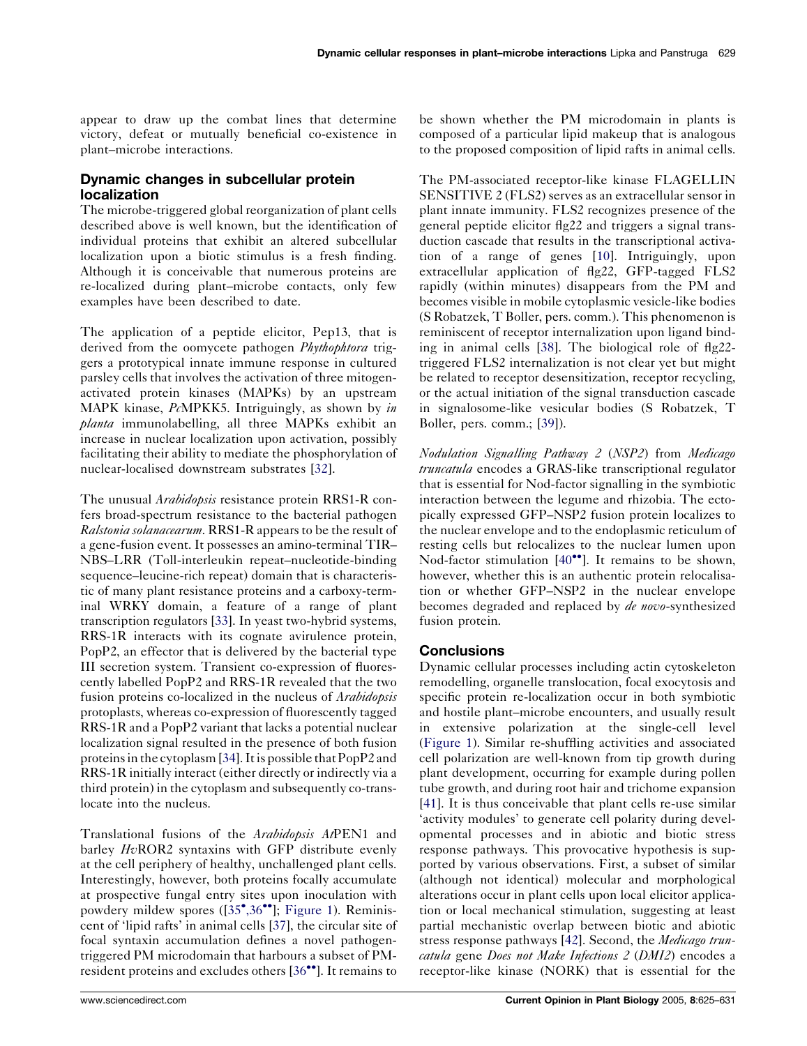appear to draw up the combat lines that determine victory, defeat or mutually beneficial co-existence in plant–microbe interactions.

# Dynamic changes in subcellular protein localization

The microbe-triggered global reorganization of plant cells described above is well known, but the identification of individual proteins that exhibit an altered subcellular localization upon a biotic stimulus is a fresh finding. Although it is conceivable that numerous proteins are re-localized during plant–microbe contacts, only few examples have been described to date.

The application of a peptide elicitor, Pep13, that is derived from the oomycete pathogen *Phythophtora* triggers a prototypical innate immune response in cultured parsley cells that involves the activation of three mitogenactivated protein kinases (MAPKs) by an upstream MAPK kinase, PcMPKK5. Intriguingly, as shown by in planta immunolabelling, all three MAPKs exhibit an increase in nuclear localization upon activation, possibly facilitating their ability to mediate the phosphorylation of nuclear-localised downstream substrates [[32\]](#page-6-0).

The unusual *Arabidopsis* resistance protein RRS1-R confers broad-spectrum resistance to the bacterial pathogen Ralstonia solanacearum. RRS1-R appears to be the result of a gene-fusion event. It possesses an amino-terminal TIR– NBS–LRR (Toll-interleukin repeat–nucleotide-binding sequence–leucine-rich repeat) domain that is characteristic of many plant resistance proteins and a carboxy-terminal WRKY domain, a feature of a range of plant transcription regulators [\[33](#page-6-0)]. In yeast two-hybrid systems, RRS-1R interacts with its cognate avirulence protein, PopP2, an effector that is delivered by the bacterial type III secretion system. Transient co-expression of fluorescently labelled PopP2 and RRS-1R revealed that the two fusion proteins co-localized in the nucleus of Arabidopsis protoplasts, whereas co-expression of fluorescently tagged RRS-1R and a PopP2 variant that lacks a potential nuclear localization signal resulted in the presence of both fusion proteins in the cytoplasm [[34\]](#page-6-0). It is possible that PopP2 and RRS-1R initially interact (either directly or indirectly via a third protein) in the cytoplasm and subsequently co-translocate into the nucleus.

Translational fusions of the Arabidopsis AtPEN1 and barley HvROR2 syntaxins with GFP distribute evenly at the cell periphery of healthy, unchallenged plant cells. Interestingly, however, both proteins focally accumulate at prospective fungal entry sites upon inoculation with powdery mildew spores ([[35](#page-6-0)°[,36](#page-6-0)°]; [Figure 1\)](#page-2-0). Reminiscent of 'lipid rafts' in animal cells [\[37](#page-6-0)], the circular site of focal syntaxin accumulation defines a novel pathogentriggered PM microdomain that harbours a subset of PM-resident proteins and excludes others [[36](#page-6-0)<sup>••</sup>]. It remains to

be shown whether the PM microdomain in plants is composed of a particular lipid makeup that is analogous to the proposed composition of lipid rafts in animal cells.

The PM-associated receptor-like kinase FLAGELLIN SENSITIVE 2 (FLS2) serves as an extracellular sensor in plant innate immunity. FLS2 recognizes presence of the general peptide elicitor flg22 and triggers a signal transduction cascade that results in the transcriptional activation of a range of genes [[10\]](#page-5-0). Intriguingly, upon extracellular application of flg22, GFP-tagged FLS2 rapidly (within minutes) disappears from the PM and becomes visible in mobile cytoplasmic vesicle-like bodies (S Robatzek, T Boller, pers. comm.). This phenomenon is reminiscent of receptor internalization upon ligand binding in animal cells [\[38](#page-6-0)]. The biological role of flg22 triggered FLS2 internalization is not clear yet but might be related to receptor desensitization, receptor recycling, or the actual initiation of the signal transduction cascade in signalosome-like vesicular bodies (S Robatzek, T Boller, pers. comm.; [[39\]](#page-6-0)).

Nodulation Signalling Pathway 2 (NSP2) from Medicago truncatula encodes a GRAS-like transcriptional regulator that is essential for Nod-factor signalling in the symbiotic interaction between the legume and rhizobia. The ectopically expressed GFP–NSP2 fusion protein localizes to the nuclear envelope and to the endoplasmic reticulum of resting cells but relocalizes to the nuclear lumen upon Nod-factor stimulation  $[40^{\bullet\bullet}]$  $[40^{\bullet\bullet}]$ . It remains to be shown, however, whether this is an authentic protein relocalisation or whether GFP–NSP2 in the nuclear envelope becomes degraded and replaced by *de novo*-synthesized fusion protein.

# **Conclusions**

Dynamic cellular processes including actin cytoskeleton remodelling, organelle translocation, focal exocytosis and specific protein re-localization occur in both symbiotic and hostile plant–microbe encounters, and usually result in extensive polarization at the single-cell level ([Figure 1\)](#page-2-0). Similar re-shuffling activities and associated cell polarization are well-known from tip growth during plant development, occurring for example during pollen tube growth, and during root hair and trichome expansion [[41](#page-6-0)]. It is thus conceivable that plant cells re-use similar 'activity modules' to generate cell polarity during developmental processes and in abiotic and biotic stress response pathways. This provocative hypothesis is supported by various observations. First, a subset of similar (although not identical) molecular and morphological alterations occur in plant cells upon local elicitor application or local mechanical stimulation, suggesting at least partial mechanistic overlap between biotic and abiotic stress response pathways [[42\]](#page-6-0). Second, the *Medicago trun*catula gene Does not Make Infections 2 (DMI2) encodes a receptor-like kinase (NORK) that is essential for the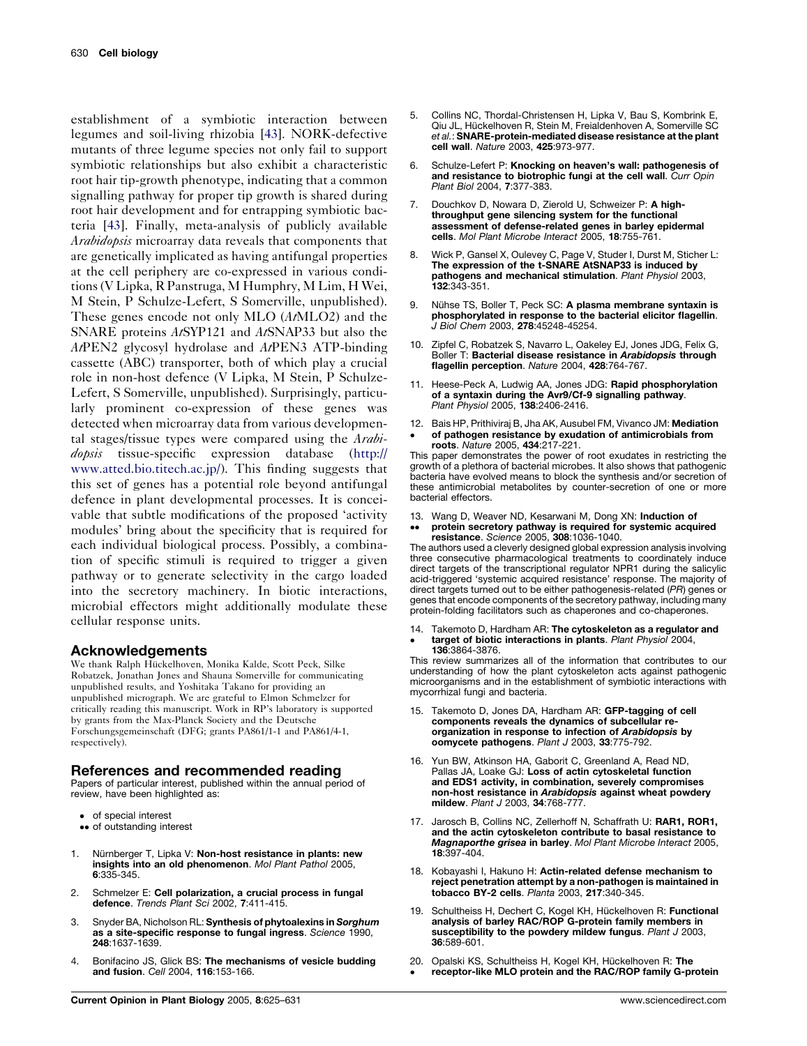<span id="page-5-0"></span>establishment of a symbiotic interaction between legumes and soil-living rhizobia [[43\]](#page-6-0). NORK-defective mutants of three legume species not only fail to support symbiotic relationships but also exhibit a characteristic root hair tip-growth phenotype, indicating that a common signalling pathway for proper tip growth is shared during root hair development and for entrapping symbiotic bacteria [[43\]](#page-6-0). Finally, meta-analysis of publicly available Arabidopsis microarray data reveals that components that are genetically implicated as having antifungal properties at the cell periphery are co-expressed in various conditions (V Lipka, R Panstruga, M Humphry, M Lim, H Wei, M Stein, P Schulze-Lefert, S Somerville, unpublished). These genes encode not only MLO (AtMLO2) and the SNARE proteins  $A$ *t*SYP121 and  $A$ *t*SNAP33 but also the AtPEN2 glycosyl hydrolase and AtPEN3 ATP-binding cassette (ABC) transporter, both of which play a crucial role in non-host defence (V Lipka, M Stein, P Schulze-Lefert, S Somerville, unpublished). Surprisingly, particularly prominent co-expression of these genes was detected when microarray data from various developmental stages/tissue types were compared using the Arabidopsis tissue-specific expression database [\(http://](http://www.atted.bio.titech.ac.jp/) [www.atted.bio.titech.ac.jp/](http://www.atted.bio.titech.ac.jp/)). This finding suggests that this set of genes has a potential role beyond antifungal defence in plant developmental processes. It is conceivable that subtle modifications of the proposed 'activity modules' bring about the specificity that is required for each individual biological process. Possibly, a combination of specific stimuli is required to trigger a given pathway or to generate selectivity in the cargo loaded into the secretory machinery. In biotic interactions, microbial effectors might additionally modulate these cellular response units.

### Acknowledgements

We thank Ralph Hückelhoven, Monika Kalde, Scott Peck, Silke Robatzek, Jonathan Jones and Shauna Somerville for communicating unpublished results, and Yoshitaka Takano for providing an unpublished micrograph. We are grateful to Elmon Schmelzer for critically reading this manuscript. Work in RP's laboratory is supported by grants from the Max-Planck Society and the Deutsche Forschungsgemeinschaft (DFG; grants PA861/1-1 and PA861/4-1, respectively).

### References and recommended reading

Papers of particular interest, published within the annual period of review, have been highlighted as:

- of special interest
- •• of outstanding interest
- 1. Nürnberger T, Lipka V: Non-host resistance in plants: new insights into an old phenomenon. Mol Plant Pathol 2005, 6:335-345.
- 2. Schmelzer E: Cell polarization, a crucial process in fungal defence. Trends Plant Sci 2002, 7:411-415.
- 3. Snyder BA, Nicholson RL: Synthesis of phytoalexins in Sorghum as a site-specific response to fungal ingress. Science 1990, 248:1637-1639.
- Bonifacino JS, Glick BS: The mechanisms of vesicle budding and fusion. Cell 2004, 116:153-166.
- 5. Collins NC, Thordal-Christensen H, Lipka V, Bau S, Kombrink E, Qiu JL, Hückelhoven R, Stein M, Freialdenhoven A, Somerville SC et al.: SNARE-protein-mediated disease resistance at the plant cell wall. Nature 2003, 425:973-977.
- 6. Schulze-Lefert P: Knocking on heaven's wall: pathogenesis of and resistance to biotrophic fungi at the cell wall. Curr Opin Plant Biol 2004, 7:377-383.
- 7. Douchkov D, Nowara D, Zierold U, Schweizer P: A highthroughput gene silencing system for the functional assessment of defense-related genes in barley epidermal cells. Mol Plant Microbe Interact 2005, 18:755-761.
- Wick P, Gansel X, Oulevey C, Page V, Studer I, Durst M, Sticher L: The expression of the t-SNARE AtSNAP33 is induced by pathogens and mechanical stimulation. Plant Physiol 2003, 132:343-351.
- 9. Nühse TS, Boller T, Peck SC: A plasma membrane syntaxin is phosphorylated in response to the bacterial elicitor flagellin. J Biol Chem 2003, 278:45248-45254.
- 10. Zipfel C, Robatzek S, Navarro L, Oakeley EJ, Jones JDG, Felix G, Boller T: Bacterial disease resistance in Arabidopsis through flagellin perception. Nature 2004, 428:764-767.
- 11. Heese-Peck A, Ludwig AA, Jones JDG: Rapid phosphorylation of a syntaxin during the Avr9/Cf-9 signalling pathway. Plant Physiol 2005, 138:2406-2416.
- 12. Bais HP, Prithiviraj B, Jha AK, Ausubel FM, Vivanco JM: Mediation  $\bullet$ of pathogen resistance by exudation of antimicrobials from roots. Nature 2005, 434:217-221.

This paper demonstrates the power of root exudates in restricting the growth of a plethora of bacterial microbes. It also shows that pathogenic bacteria have evolved means to block the synthesis and/or secretion of these antimicrobial metabolites by counter-secretion of one or more bacterial effectors.

- 13. Wang D, Weaver ND, Kesarwani M, Dong XN: Induction of
- $\bullet\bullet$ protein secretory pathway is required for systemic acquired<br>resistance. Science 2005, 3**08**:1036-1040.

The authors used a cleverly designed global expression analysis involving three consecutive pharmacological treatments to coordinately induce direct targets of the transcriptional regulator NPR1 during the salicylic acid-triggered 'systemic acquired resistance' response. The majority of direct targets turned out to be either pathogenesis-related (PR) genes or genes that encode components of the secretory pathway, including many protein-folding facilitators such as chaperones and co-chaperones.

14. Takemoto D, Hardham AR: The cytoskeleton as a regulator and  $\bullet$ target of biotic interactions in plants. Plant Physiol 2004, 136:3864-3876.

This review summarizes all of the information that contributes to our understanding of how the plant cytoskeleton acts against pathogenic microorganisms and in the establishment of symbiotic interactions with mycorrhizal fungi and bacteria.

- 15. Takemoto D, Jones DA, Hardham AR: GFP-tagging of cell components reveals the dynamics of subcellular reorganization in response to infection of Arabidopsis by oomycete pathogens. Plant J 2003, 33:775-792.
- 16. Yun BW, Atkinson HA, Gaborit C, Greenland A, Read ND, Pallas JA, Loake GJ: Loss of actin cytoskeletal function and EDS1 activity, in combination, severely compromises non-host resistance in Arabidopsis against wheat powdery mildew. Plant J 2003, 34:768-777.
- 17. Jarosch B, Collins NC, Zellerhoff N, Schaffrath U: RAR1, ROR1, and the actin cytoskeleton contribute to basal resistance to Magnaporthe grisea in barley. Mol Plant Microbe Interact 2005, 18:397-404.
- 18. Kobayashi I, Hakuno H: Actin-related defense mechanism to reject penetration attempt by a non-pathogen is maintained in tobacco BY-2 cells. Planta 2003, 217:340-345.
- 19. Schultheiss H, Dechert C, Kogel KH, Hückelhoven R: Functional analysis of barley RAC/ROP G-protein family members in susceptibility to the powdery mildew fungus. Plant J 2003, 36:589-601.
- 20. Opalski KS, Schultheiss H, Kogel KH, Hückelhoven R: The  $\bullet$ receptor-like MLO protein and the RAC/ROP family G-protein